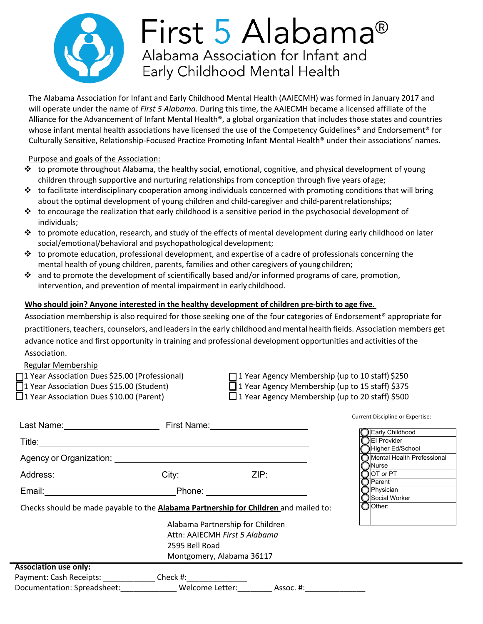

# First 5 Alabama<sup>®</sup> Alabama Association for Infant and Early Childhood Mental Health

The Alabama Association for Infant and Early Childhood Mental Health (AAIECMH) was formed in January 2017 and will operate under the name of *First 5 Alabama*. During this time, the AAIECMH became a licensed affiliate of the Alliance for the Advancement of Infant Mental Health®, a global organization that includes those states and countries whose infant mental health associations have licensed the use of the Competency Guidelines® and Endorsement® for Culturally Sensitive, Relationship-Focused Practice Promoting Infant Mental Health® under their associations' names.

## Purpose and goals of the Association:

- $\cdot \cdot$  to promote throughout Alabama, the healthy social, emotional, cognitive, and physical development of young children through supportive and nurturing relationships from conception through five years ofage;
- $\cdot \cdot$  to facilitate interdisciplinary cooperation among individuals concerned with promoting conditions that will bring about the optimal development of young children and child-caregiver and child-parent relationships;
- $\cdot \cdot$  to encourage the realization that early childhood is a sensitive period in the psychosocial development of individuals;
- $\cdot \cdot$  to promote education, research, and study of the effects of mental development during early childhood on later social/emotional/behavioral and psychopathological development;
- $\cdot \cdot$  to promote education, professional development, and expertise of a cadre of professionals concerning the mental health of young children, parents, families and other caregivers of youngchildren;
- $\cdot \cdot$  and to promote the development of scientifically based and/or informed programs of care, promotion, intervention, and prevention of mental impairment in early childhood.

## **Who should join? Anyone interested in the healthy development of children pre-birth to age five.**

Association membership is also required for those seeking one of the four categories of Endorsement® appropriate for practitioners, teachers, counselors, and leaders in the early childhood and mental health fields. Association members get advance notice and first opportunity in training and professional development opportunities and activities ofthe Association.

#### Regular Membership

| 11 Year Association Dues \$25.00 (Professional) |  |
|-------------------------------------------------|--|
|                                                 |  |

- $\Box$  1 Year Agency Membership (up to 10 staff) \$250
- 1 Year Association Dues \$15.00 (Student) 1 Year Agency Membership (up to 15 staff) \$375
- $\Box$ 1 Year Association Dues \$10.00 (Parent)  $\Box$ 1 Year Agency Membership (up to 20 staff) \$500

| Last Name: <u>________________________</u>                                       | Carrent Discipling or Expertise.<br>First Name: <u>_________________</u><br>Early Childhood<br>◯El Provider<br>Higher Ed/School<br>Mental Health Professional<br>Agency or Organization: <u>contained a series of the series of the series of the series of the series of the series of</u><br><b>JNurse</b><br>$\bigcirc$ OT or PT<br>Address: ________________________City: ____________________ZIP: ________________<br>$\Box$ Parent<br>$\bigcirc$ Physician<br>Email: Phone: Phone: Phone: Phone: Phone: Phone: Phone: Phone: Phone: Phone: Phone: Phone: 2012.<br>Social Worker<br>O Other:<br>Checks should be made payable to the Alabama Partnership for Children and mailed to:<br>Alabama Partnership for Children<br>Attn: AAIECMH First 5 Alabama<br>2595 Bell Road<br>Montgomery, Alabama 36117 |                           |  |
|----------------------------------------------------------------------------------|---------------------------------------------------------------------------------------------------------------------------------------------------------------------------------------------------------------------------------------------------------------------------------------------------------------------------------------------------------------------------------------------------------------------------------------------------------------------------------------------------------------------------------------------------------------------------------------------------------------------------------------------------------------------------------------------------------------------------------------------------------------------------------------------------------------|---------------------------|--|
|                                                                                  |                                                                                                                                                                                                                                                                                                                                                                                                                                                                                                                                                                                                                                                                                                                                                                                                               |                           |  |
|                                                                                  |                                                                                                                                                                                                                                                                                                                                                                                                                                                                                                                                                                                                                                                                                                                                                                                                               |                           |  |
|                                                                                  |                                                                                                                                                                                                                                                                                                                                                                                                                                                                                                                                                                                                                                                                                                                                                                                                               |                           |  |
|                                                                                  |                                                                                                                                                                                                                                                                                                                                                                                                                                                                                                                                                                                                                                                                                                                                                                                                               |                           |  |
|                                                                                  |                                                                                                                                                                                                                                                                                                                                                                                                                                                                                                                                                                                                                                                                                                                                                                                                               |                           |  |
|                                                                                  |                                                                                                                                                                                                                                                                                                                                                                                                                                                                                                                                                                                                                                                                                                                                                                                                               |                           |  |
| <b>Association use only:</b>                                                     |                                                                                                                                                                                                                                                                                                                                                                                                                                                                                                                                                                                                                                                                                                                                                                                                               |                           |  |
| Payment: Cash Receipts: ________________ Check #:_______________________________ |                                                                                                                                                                                                                                                                                                                                                                                                                                                                                                                                                                                                                                                                                                                                                                                                               |                           |  |
| Documentation: Spreadsheet:_____________                                         |                                                                                                                                                                                                                                                                                                                                                                                                                                                                                                                                                                                                                                                                                                                                                                                                               | Welcome Letter: Assoc. #: |  |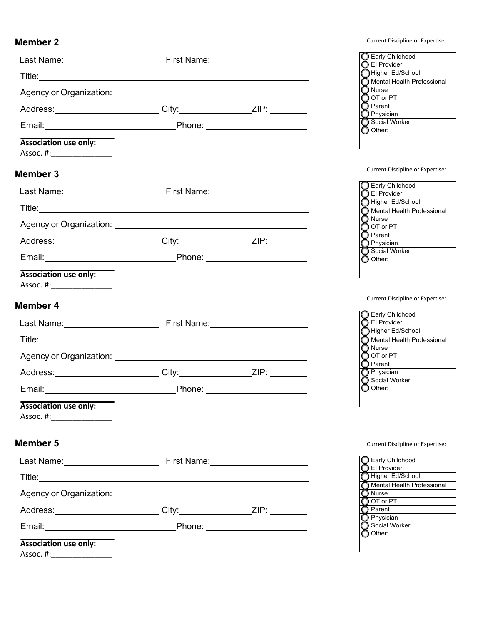|                                                                                                                                                                                                                                     |  | <b>OE</b> arly Childhood<br>CEI Provider          |
|-------------------------------------------------------------------------------------------------------------------------------------------------------------------------------------------------------------------------------------|--|---------------------------------------------------|
|                                                                                                                                                                                                                                     |  | Higher Ed/School                                  |
|                                                                                                                                                                                                                                     |  | Mental Health Professional<br>Nurse               |
| Address: ________________________City:____________________ZIP: _________________                                                                                                                                                    |  | $\bigcirc$ OT or PT<br>◯ Parent                   |
|                                                                                                                                                                                                                                     |  | $\bigcirc$ Physician<br>Social Worker             |
|                                                                                                                                                                                                                                     |  | O Other:                                          |
| <b>Association use only:</b><br>Assoc. #:__________________                                                                                                                                                                         |  |                                                   |
| <b>Member 3</b>                                                                                                                                                                                                                     |  | <b>Current Discipline or Expertise:</b>           |
|                                                                                                                                                                                                                                     |  | <b>OEarly Childhood</b><br>El Provider            |
|                                                                                                                                                                                                                                     |  | Higher Ed/School<br>Mental Health Professional    |
|                                                                                                                                                                                                                                     |  | $\bigcap$ Nurse                                   |
|                                                                                                                                                                                                                                     |  | $\bigcirc$ OT or PT<br>$\bigcirc$ Parent          |
| Address: ________________________City:____________________ZIP: _________________                                                                                                                                                    |  | Physician<br>Social Worker                        |
| Email: <u>New York: Phone:</u> Phone: New York: New York: New York: New York: New York: New York: New York: New York: New York: New York: New York: New York: New York: New York: New York: New York: New York: New York: New York: |  | O Other:                                          |
| <b>Association use only:</b><br>Assoc. #:__________________                                                                                                                                                                         |  |                                                   |
| Member 4                                                                                                                                                                                                                            |  | <b>Current Discipline or Expertise:</b>           |
| Last Name: The Pinese Contract Contract Contract Contract Contract Contract Contract Contract Contract Contract Contract Contract Contract Contract Contract Contract Contract Contract Contract Contract Contract Contract Co      |  | Early Childhood<br>El Provider                    |
|                                                                                                                                                                                                                                     |  | Higher Ed/School<br>Mental Health Professional    |
|                                                                                                                                                                                                                                     |  | ◯ Nurse                                           |
|                                                                                                                                                                                                                                     |  | $\bigcirc$ IOT or PT<br>$\bigcap$ Parent          |
| Address: ________________________City:____________________ZIP: _________________                                                                                                                                                    |  | <b>O</b> Physician                                |
|                                                                                                                                                                                                                                     |  | Social Worker<br>$\bigcirc$ Other:                |
| <b>Association use only:</b><br>Assoc. #:____________________                                                                                                                                                                       |  |                                                   |
| <b>Member 5</b>                                                                                                                                                                                                                     |  | Current Discipline or Expertise:                  |
|                                                                                                                                                                                                                                     |  | Early Childhood                                   |
|                                                                                                                                                                                                                                     |  | <b>OEI Provider</b><br>Higher Ed/School           |
|                                                                                                                                                                                                                                     |  | Mental Health Professional<br>◯ Nurse             |
| Address: _________________________City:____________________ZIP: ________________                                                                                                                                                    |  | $\overline{\bigcirc}$ OT or PT<br><b>O</b> Parent |
|                                                                                                                                                                                                                                     |  | <b>O</b> Physician<br>Social Worker               |
| <b>Association use only:</b>                                                                                                                                                                                                        |  | $\bigcirc$ Other:                                 |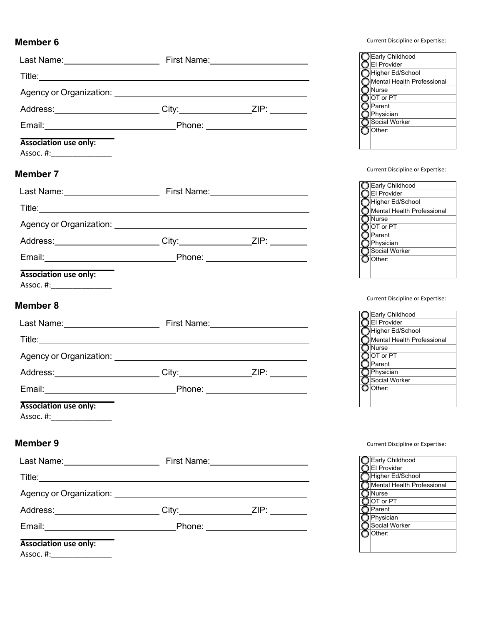|                                                                                                                                                                                                                                     |                                | <b>OEarly Childhood</b><br>CEI Provider                               |
|-------------------------------------------------------------------------------------------------------------------------------------------------------------------------------------------------------------------------------------|--------------------------------|-----------------------------------------------------------------------|
|                                                                                                                                                                                                                                     |                                | Higher Ed/School                                                      |
|                                                                                                                                                                                                                                     |                                | Mental Health Professional<br>$\normalsize$ Nurse                     |
| Address: __________________________City: __________________ZIP: ________________                                                                                                                                                    |                                | $\bigcirc$ OT or PT<br>◯ Parent                                       |
|                                                                                                                                                                                                                                     |                                | $\bigcirc$ Physician<br>◯ Social Worker                               |
|                                                                                                                                                                                                                                     |                                | O Other:                                                              |
| <b>Association use only:</b><br>Assoc. #:_________________                                                                                                                                                                          |                                |                                                                       |
| <b>Member 7</b>                                                                                                                                                                                                                     |                                | Current Discipline or Expertise:                                      |
| Last Name: <u>Capacitan Communication</u> First Name: Capacitan Communication Communication Communication Communication                                                                                                             |                                | Early Childhood<br><b>OEI Provider</b>                                |
|                                                                                                                                                                                                                                     |                                | Higher Ed/School                                                      |
|                                                                                                                                                                                                                                     |                                | Mental Health Professional<br>◯ Nurse                                 |
|                                                                                                                                                                                                                                     |                                | $\frac{1}{2}$ OT or PT<br>$\bigcap$ Parent                            |
| Address: _________________________City: ___________________ZIP: __________                                                                                                                                                          |                                | <b>O</b> Physician                                                    |
| Email: Phone: Phone: 2008. Email: 2008. 2009. Email: 2008. 2009. 2010. 2010. 2010. 2010. 2010. 2010. 2011. 201                                                                                                                      |                                | Social Worker<br>O Other:                                             |
| <b>Association use only:</b><br>Assoc. #:__________________                                                                                                                                                                         |                                |                                                                       |
|                                                                                                                                                                                                                                     |                                | Current Discipline or Expertise:                                      |
| <b>Member 8</b>                                                                                                                                                                                                                     |                                |                                                                       |
| Last Name: <u>Name:</u> First Name: Name: Name: Name: Name: Name: Name: Name: Name: Name: Name: Name: Name: Name: Name: Name: Name: Name: Name: Name: Name: Name: Name: Name: Name: Name: Name: Name: Name: Name: Name: Name: Name: |                                | Early Childhood<br>◯ El Provider                                      |
|                                                                                                                                                                                                                                     |                                | Higher Ed/School<br>Mental Health Professional                        |
|                                                                                                                                                                                                                                     |                                | $\overline{\bigcirc}$ Nurse $\qquad \qquad \qquad$                    |
|                                                                                                                                                                                                                                     |                                | ◯ OT or PT<br>$\bigcap$ Parent                                        |
| Address: _________________________City: _____________________ZIP: ______________                                                                                                                                                    |                                | <b>O</b> Physician<br>◯ Social Worker                                 |
|                                                                                                                                                                                                                                     | Phone: _______________________ | O Other:                                                              |
| <b>Association use only:</b>                                                                                                                                                                                                        |                                |                                                                       |
|                                                                                                                                                                                                                                     |                                |                                                                       |
| Member 9                                                                                                                                                                                                                            |                                | Current Discipline or Expertise:                                      |
| Last Name: <u>Name:</u> First Name: Name: Name: Name: Name: Name: Name: Name: Name: Name: Name: Name: Name: Name: Name: Name: Name: Name: Name: Name: Name: Name: Name: Name: Name: Name: Name: Name: Name: Name: Name: Name: Name: |                                | Early Childhood                                                       |
|                                                                                                                                                                                                                                     |                                | <b>OEI Provider</b><br>Higher Ed/School<br>Mental Health Professional |
|                                                                                                                                                                                                                                     |                                | O Nurse                                                               |
| Address: ________________________City:____________________ZIP: _________________                                                                                                                                                    |                                | $\overline{OPT}$ or PT<br><b>O</b> Parent                             |
|                                                                                                                                                                                                                                     |                                | <b>O</b> Physician<br>Social Worker                                   |
| <b>Association use only:</b><br>Assoc. #:___________________                                                                                                                                                                        |                                | $\bigcirc$ Other:                                                     |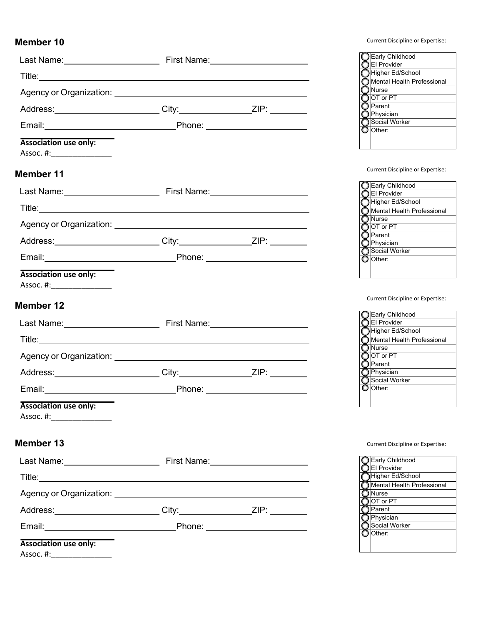|                                                                                                                                                                                                                                     |  | <b>OEarly Childhood</b><br>OEI Provider         |
|-------------------------------------------------------------------------------------------------------------------------------------------------------------------------------------------------------------------------------------|--|-------------------------------------------------|
|                                                                                                                                                                                                                                     |  | ◯Higher Ed/School<br>Mental Health Professional |
|                                                                                                                                                                                                                                     |  | ∩ Nurse                                         |
| Address: ________________________City:____________________ZIP: _________________                                                                                                                                                    |  | $\bigcirc$ OT or PT<br>◯ Parent                 |
|                                                                                                                                                                                                                                     |  | <b>O</b> Physician<br>Social Worker             |
| <b>Association use only:</b>                                                                                                                                                                                                        |  | O Other:                                        |
| Assoc. #:__________________                                                                                                                                                                                                         |  |                                                 |
| <b>Member 11</b>                                                                                                                                                                                                                    |  | Current Discipline or Expertise:                |
| Last Name: <u>Name:</u> First Name: Name: Name: Name: Name: Name: Name: Name: Name: Name: Name: Name: Name: Name: Name: Name: Name: Name: Name: Name: Name: Name: Name: Name: Name: Name: Name: Name: Name: Name: Name: Name: Name: |  | Early Childhood<br><b>OEI</b> Provider          |
|                                                                                                                                                                                                                                     |  | Higher Ed/School<br>Mental Health Professional  |
|                                                                                                                                                                                                                                     |  | ◯ Nurse<br>$\bigcirc$ OT or PT                  |
| Address: _________________________City: _____________________ZIP: ______________                                                                                                                                                    |  | ∩ Parent<br>$\bigcirc$ Physician                |
|                                                                                                                                                                                                                                     |  | Social Worker<br>O Other:                       |
| <b>Association use only:</b><br>Assoc. #:________________                                                                                                                                                                           |  |                                                 |
| <b>Member 12</b>                                                                                                                                                                                                                    |  | Current Discipline or Expertise:                |
|                                                                                                                                                                                                                                     |  | Early Childhood                                 |
|                                                                                                                                                                                                                                     |  | <b>OEI Provider</b><br>Higher Ed/School         |
|                                                                                                                                                                                                                                     |  | Mental Health Professional<br>$\bigcirc$ Nurse  |
|                                                                                                                                                                                                                                     |  | $\bigcirc$ OT or PT<br>Parent                   |
| Address: _________________________City: _____________________ZIP: ______________                                                                                                                                                    |  | O Physician                                     |
| Email: 2008 Contract Contract Contract Contract Contract Contract Contract Contract Contract Contract Contract Contract Contract Contract Contract Contract Contract Contract Contract Contract Contract Contract Contract Con      |  | ◯ Social Worker<br>O Other:                     |
| <b>Association use only:</b>                                                                                                                                                                                                        |  |                                                 |
|                                                                                                                                                                                                                                     |  |                                                 |
| Member 13                                                                                                                                                                                                                           |  | Current Discipline or Expertise:                |
| Last Name: <u>Name: Name:</u> First Name: Name: Name: Name: Name: Name: Name: Name: Name: Name: Name: Name: Name: Name: Name: Name: Name: Name: Name: Name: Name: Name: Name: Name: Name: Name: Name: Name: Name: Name: Name: Name: |  | Early Childhood<br><b>OEI Provider</b>          |
|                                                                                                                                                                                                                                     |  | Higher Ed/School<br>Mental Health Professional  |
|                                                                                                                                                                                                                                     |  | O Nurse<br>$\bigcirc$ OT or PT                  |
| Address: ________________________City:____________________ZIP: _________________                                                                                                                                                    |  | ◯ Parent<br>O Physician                         |
|                                                                                                                                                                                                                                     |  | Social Worker<br>O Other:                       |
| <b>Association use only:</b><br>Assoc. #:__________________                                                                                                                                                                         |  |                                                 |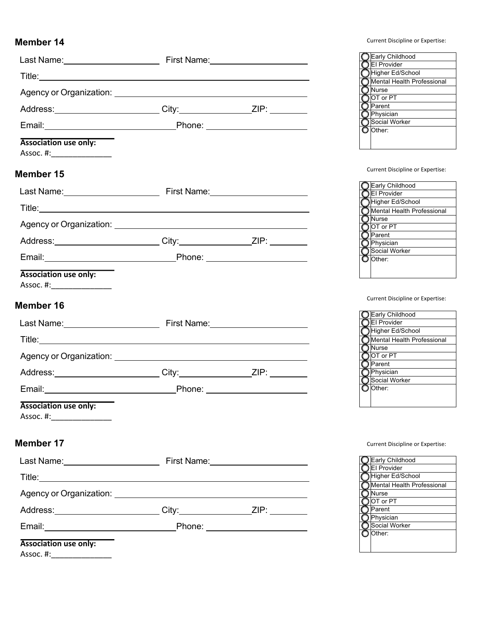|                                                                                                                                                                                                                                      |                                | <b>OEarly Childhood</b><br>OEI Provider                 |
|--------------------------------------------------------------------------------------------------------------------------------------------------------------------------------------------------------------------------------------|--------------------------------|---------------------------------------------------------|
| Title: <u>Alexander Alexander Alexander Alexander Alexander Alexander Alexander Alexander Alexander Alexander Alexander Alexander Alexander Alexander Alexander Alexander Alexander Alexander Alexander Alexander Alexander Alex</u> |                                | Higher Ed/School<br>Mental Health Professional          |
|                                                                                                                                                                                                                                      |                                | Nurse                                                   |
| Address: _________________________City: ____________________ZIP: __________                                                                                                                                                          |                                | $\bigcirc$ OT or PT<br>Parent                           |
|                                                                                                                                                                                                                                      |                                | ◯ Physician<br>Social Worker                            |
|                                                                                                                                                                                                                                      |                                | O Other:                                                |
| <b>Association use only:</b><br>Assoc. #:___________________                                                                                                                                                                         |                                |                                                         |
| Member 15                                                                                                                                                                                                                            |                                | Current Discipline or Expertise:                        |
|                                                                                                                                                                                                                                      |                                | Early Childhood<br><b>OEI</b> Provider                  |
|                                                                                                                                                                                                                                      |                                | Higher Ed/School<br>Mental Health Professional          |
|                                                                                                                                                                                                                                      |                                | $\bigcap$ Nurse                                         |
|                                                                                                                                                                                                                                      |                                | $\bigcirc$ OT or PT<br>$\overline{\bigcirc}$ Parent ___ |
| Address: _________________________City: _____________________ZIP: ______________                                                                                                                                                     |                                | $\bigcirc$ Physician<br>Social Worker                   |
|                                                                                                                                                                                                                                      |                                | O Other:                                                |
| <b>Association use only:</b><br>Assoc. #:__________________                                                                                                                                                                          |                                |                                                         |
| Member 16                                                                                                                                                                                                                            |                                | Current Discipline or Expertise:                        |
| Last Name: <u>Name:</u> First Name: Name: Name: Name: Name: Name: Name: Name: Name: Name: Name: Name: Name: Name: Name: Name: Name: Name: Name: Name: Name: Name: Name: Name: Name: Name: Name: Name: Name: Name: Name: Name: Name:  |                                | Early Childhood<br><b>OEI Provider</b>                  |
|                                                                                                                                                                                                                                      |                                | Higher Ed/School<br>Mental Health Professional          |
|                                                                                                                                                                                                                                      |                                | $\bigcirc$ IOT or PT                                    |
|                                                                                                                                                                                                                                      |                                | $\bigcap$ Parent<br><b>O</b> Physician                  |
| Address: City: City: ZIP:                                                                                                                                                                                                            |                                | ◯ Social Worker                                         |
|                                                                                                                                                                                                                                      | Phone: _______________________ | O Other:                                                |
| <b>Association use only:</b>                                                                                                                                                                                                         |                                |                                                         |
| <b>Member 17</b>                                                                                                                                                                                                                     |                                | Current Discipline or Expertise:                        |
|                                                                                                                                                                                                                                      |                                | <b>O</b> Early Childhood                                |
|                                                                                                                                                                                                                                      |                                | El Provider<br>Higher Ed/School                         |
|                                                                                                                                                                                                                                      |                                | Mental Health Professional<br>◯ Nurse                   |
| Address: ________________________City:____________________ZIP: _________________                                                                                                                                                     |                                | $\bigcirc$ OT or PT<br>◯ Parent                         |
| Email: Phone: Phone: 2008. Email: 2008. 2009. All Phone: 2008. 2009. 2012. 2013. 2014. 2016. 2017. 2018. 2019                                                                                                                        |                                | O Physician<br>Social Worker                            |
| <b>Association use only:</b><br>Assoc. #:___________________                                                                                                                                                                         |                                | O Other:                                                |